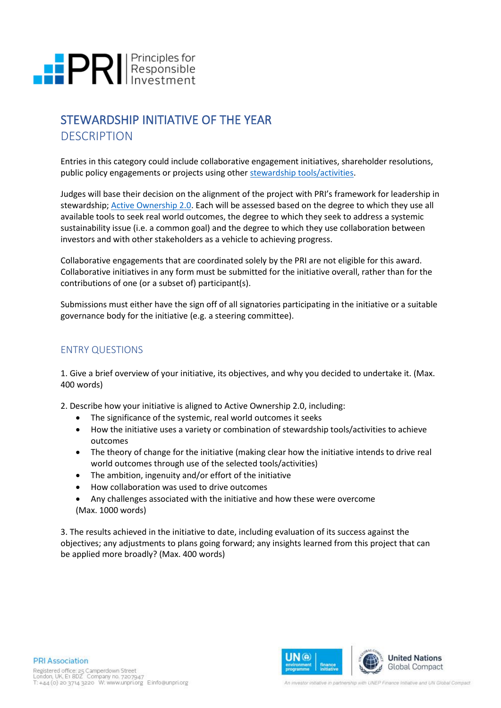# **PRI** Principles for

# STEWARDSHIP INITIATIVE OF THE YEAR **DESCRIPTION**

Entries in this category could include collaborative engagement initiatives, shareholder resolutions, public policy engagements or projects using other [stewardship tools/activities.](https://www.unpri.org/stewardship/about-stewardship/6268.article)

Judges will base their decision on the alignment of the project with PRI's framework for leadership in stewardship; [Active Ownership 2.0.](https://www.unpri.org/download?ac=9721) Each will be assessed based on the degree to which they use all available tools to seek real world outcomes, the degree to which they seek to address a systemic sustainability issue (i.e. a common goal) and the degree to which they use collaboration between investors and with other stakeholders as a vehicle to achieving progress.

Collaborative engagements that are coordinated solely by the PRI are not eligible for this award. Collaborative initiatives in any form must be submitted for the initiative overall, rather than for the contributions of one (or a subset of) participant(s).

Submissions must either have the sign off of all signatories participating in the initiative or a suitable governance body for the initiative (e.g. a steering committee).

# ENTRY QUESTIONS

1. Give a brief overview of your initiative, its objectives, and why you decided to undertake it. (Max. 400 words)

2. Describe how your initiative is aligned to Active Ownership 2.0, including:

- The significance of the systemic, real world outcomes it seeks
- How the initiative uses a variety or combination of stewardship tools/activities to achieve outcomes
- The theory of change for the initiative (making clear how the initiative intends to drive real world outcomes through use of the selected tools/activities)
- The ambition, ingenuity and/or effort of the initiative
- How collaboration was used to drive outcomes
- Any challenges associated with the initiative and how these were overcome (Max. 1000 words)

3. The results achieved in the initiative to date, including evaluation of its success against the objectives; any adjustments to plans going forward; any insights learned from this project that can be applied more broadly? (Max. 400 words)



An investor initiative in partnership with UNEP Finance Initiative and UN Global Compact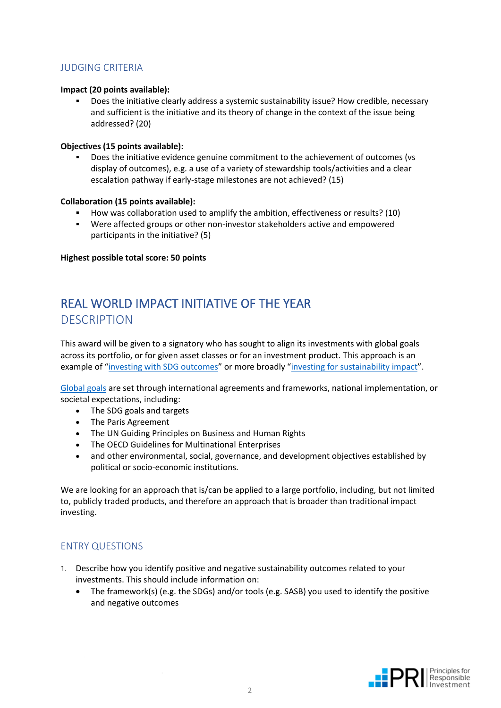# JUDGING CRITERIA

#### **Impact (20 points available):**

Does the initiative clearly address a systemic sustainability issue? How credible, necessary and sufficient is the initiative and its theory of change in the context of the issue being addressed? (20)

#### **Objectives (15 points available):**

Does the initiative evidence genuine commitment to the achievement of outcomes (vs display of outcomes), e.g. a use of a variety of stewardship tools/activities and a clear escalation pathway if early-stage milestones are not achieved? (15)

#### **Collaboration (15 points available):**

- How was collaboration used to amplify the ambition, effectiveness or results? (10)
- Were affected groups or other non-investor stakeholders active and empowered participants in the initiative? (5)

**Highest possible total score: 50 points**

# REAL WORLD IMPACT INITIATIVE OF THE YEAR **DESCRIPTION**

This award will be given to a signatory who has sought to align its investments with global goals across its portfolio, or for given asset classes or for an investment product. This approach is an example of "[investing with SDG outcomes](https://www.unpri.org/sustainable-development-goals/investing-with-sdg-outcomes-a-five-part-framework/5895.article)" or more broadly "[investing for sustainability](https://www.unpri.org/policy/a-legal-framework-for-impact) impact".

[Global goals](https://www.unpri.org/reporting-and-assessment/reporting-framework-glossary/6937.article) are set through international agreements and frameworks, national implementation, or societal expectations, including:

- The SDG goals and targets
- The Paris Agreement
- The UN Guiding Principles on Business and Human Rights
- The OECD Guidelines for Multinational Enterprises
- and other environmental, social, governance, and development objectives established by political or socio-economic institutions.

We are looking for an approach that is/can be applied to a large portfolio, including, but not limited to, publicly traded products, and therefore an approach that is broader than traditional impact investing.

# ENTRY QUESTIONS

- 1. Describe how you identify positive and negative sustainability outcomes related to your investments. This should include information on:
	- The framework(s) (e.g. the SDGs) and/or tools (e.g. SASB) you used to identify the positive and negative outcomes

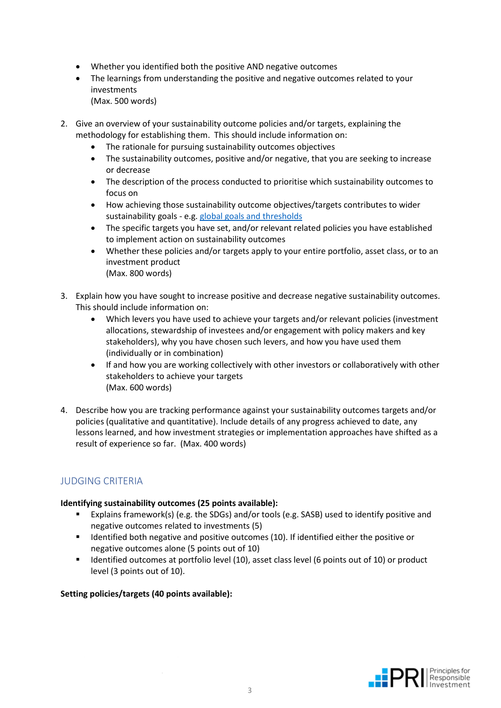- Whether you identified both the positive AND negative outcomes
- The learnings from understanding the positive and negative outcomes related to your investments
	- (Max. 500 words)
- 2. Give an overview of your sustainability outcome policies and/or targets, explaining the methodology for establishing them.  This should include information on:
	- The rationale for pursuing sustainability outcomes objectives
	- The sustainability outcomes, positive and/or negative, that you are seeking to increase or decrease
	- The description of the process conducted to prioritise which sustainability outcomes to focus on
	- How achieving those sustainability outcome objectives/targets contributes to wider sustainability goals - e.g[. global goals and thresholds](https://www.unpri.org/driving-meaningful-data/driving-meaningful-data-financial-materiality-sustainability-performance-and-sustainability-outcomes/6446.article)
	- The specific targets you have set, and/or relevant related policies you have established to implement action on sustainability outcomes
	- Whether these policies and/or targets apply to your entire portfolio, asset class, or to an investment product (Max. 800 words)
- 3. Explain how you have sought to increase positive and decrease negative sustainability outcomes. This should include information on:
	- Which levers you have used to achieve your targets and/or relevant policies (investment allocations, stewardship of investees and/or engagement with policy makers and key stakeholders), why you have chosen such levers, and how you have used them (individually or in combination)
	- If and how you are working collectively with other investors or collaboratively with other stakeholders to achieve your targets (Max. 600 words)
- 4. Describe how you are tracking performance against your sustainability outcomes targets and/or policies (qualitative and quantitative). Include details of any progress achieved to date, any lessons learned, and how investment strategies or implementation approaches have shifted as a result of experience so far.  (Max. 400 words)

# JUDGING CRITERIA

## **Identifying sustainability outcomes (25 points available):**

- Explains framework(s) (e.g. the SDGs) and/or tools (e.g. SASB) used to identify positive and negative outcomes related to investments (5)
- Identified both negative and positive outcomes (10). If identified either the positive or negative outcomes alone (5 points out of 10)
- **■** Identified outcomes at portfolio level (10), asset class level (6 points out of 10) or product level (3 points out of 10).

# **Setting policies/targets (40 points available):**

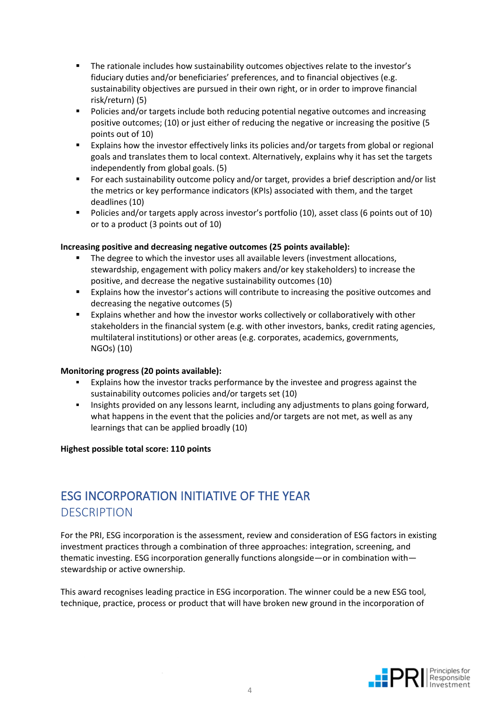- The rationale includes how sustainability outcomes objectives relate to the investor's fiduciary duties and/or beneficiaries' preferences, and to financial objectives (e.g. sustainability objectives are pursued in their own right, or in order to improve financial risk/return) (5)
- Policies and/or targets include both reducing potential negative outcomes and increasing positive outcomes; (10) or just either of reducing the negative or increasing the positive (5 points out of 10)
- Explains how the investor effectively links its policies and/or targets from global or regional goals and translates them to local context. Alternatively, explains why it has set the targets independently from global goals. (5)
- For each sustainability outcome policy and/or target, provides a brief description and/or list the metrics or key performance indicators (KPIs) associated with them, and the target deadlines (10)
- Policies and/or targets apply across investor's portfolio (10), asset class (6 points out of 10) or to a product (3 points out of 10)

## **Increasing positive and decreasing negative outcomes (25 points available):**

- The degree to which the investor uses all available levers (investment allocations, stewardship, engagement with policy makers and/or key stakeholders) to increase the positive, and decrease the negative sustainability outcomes (10)
- Explains how the investor's actions will contribute to increasing the positive outcomes and decreasing the negative outcomes (5)
- **Explains whether and how the investor works collectively or collaboratively with other** stakeholders in the financial system (e.g. with other investors, banks, credit rating agencies, multilateral institutions) or other areas (e.g. corporates, academics, governments, NGOs) (10)

#### **Monitoring progress (20 points available):**

- Explains how the investor tracks performance by the investee and progress against the sustainability outcomes policies and/or targets set (10)
- Insights provided on any lessons learnt, including any adjustments to plans going forward, what happens in the event that the policies and/or targets are not met, as well as any learnings that can be applied broadly (10)

#### **Highest possible total score: 110 points**

# ESG INCORPORATION INITIATIVE OF THE YEAR  **DESCRIPTION**

For the PRI, ESG incorporation is the assessment, review and consideration of ESG factors in existing investment practices through a combination of three approaches: integration, screening, and thematic investing. ESG incorporation generally functions alongside—or in combination with stewardship or active ownership.

This award recognises leading practice in ESG incorporation. The winner could be a new ESG tool, technique, practice, process or product that will have broken new ground in the incorporation of

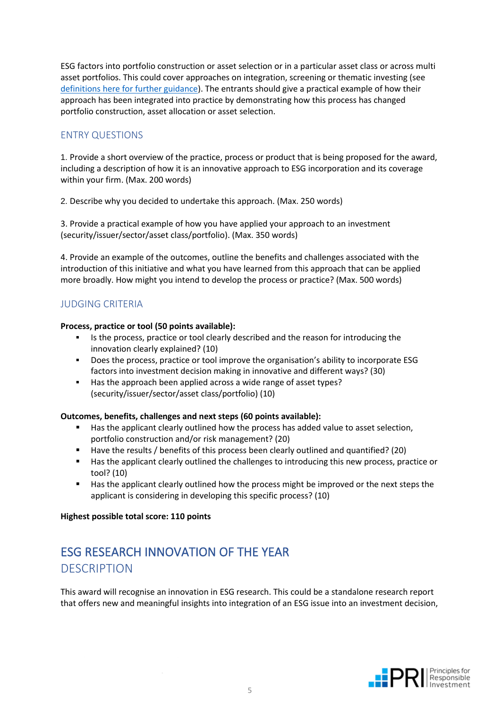ESG factors into portfolio construction or asset selection or in a particular asset class or across multi asset portfolios. This could cover approaches on integration, screening or thematic investing (see [definitions here for further guidance\)](https://www.unpri.org/reporting-and-assessment/reporting-framework-glossary/6937.article). The entrants should give a practical example of how their approach has been integrated into practice by demonstrating how this process has changed portfolio construction, asset allocation or asset selection.

# ENTRY QUESTIONS

1. Provide a short overview of the practice, process or product that is being proposed for the award, including a description of how it is an innovative approach to ESG incorporation and its coverage within your firm. (Max. 200 words) 

2. Describe why you decided to undertake this approach. (Max. 250 words) 

3. Provide a practical example of how you have applied your approach to an investment (security/issuer/sector/asset class/portfolio). (Max. 350 words)

4. Provide an example of the outcomes, outline the benefits and challenges associated with the introduction of this initiative and what you have learned from this approach that can be applied more broadly. How might you intend to develop the process or practice? (Max. 500 words) 

# JUDGING CRITERIA

#### **Process, practice or tool (50 points available):**

- Is the process, practice or tool clearly described and the reason for introducing the innovation clearly explained? (10)
- **•** Does the process, practice or tool improve the organisation's ability to incorporate ESG factors into investment decision making in innovative and different ways? (30)
- Has the approach been applied across a wide range of asset types? (security/issuer/sector/asset class/portfolio) (10)

## **Outcomes, benefits, challenges and next steps (60 points available):**

- Has the applicant clearly outlined how the process has added value to asset selection, portfolio construction and/or risk management? (20)
- Have the results / benefits of this process been clearly outlined and quantified? (20)
- Has the applicant clearly outlined the challenges to introducing this new process, practice or tool? (10)
- Has the applicant clearly outlined how the process might be improved or the next steps the applicant is considering in developing this specific process? (10)

#### **Highest possible total score: 110 points**

# ESG RESEARCH INNOVATION OF THE YEAR **DESCRIPTION**

This award will recognise an innovation in ESG research. This could be a standalone research report that offers new and meaningful insights into integration of an ESG issue into an investment decision,